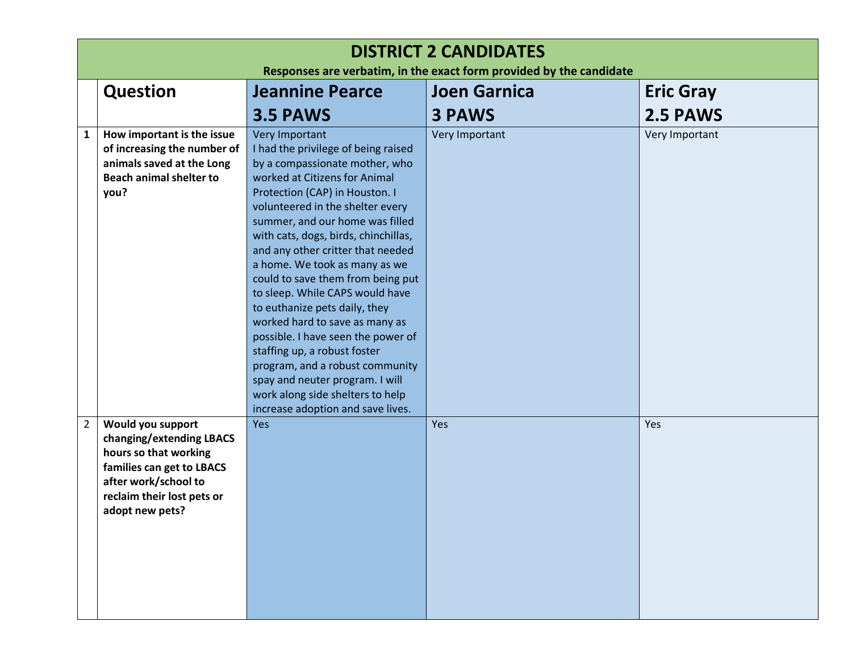|                | <b>DISTRICT 2 CANDIDATES</b>                                                                                                                                                 |                                                                                                                                                                                                                                                                                                                                                                                                                                                                                                                                                                                                                                                                            |                     |                  |  |
|----------------|------------------------------------------------------------------------------------------------------------------------------------------------------------------------------|----------------------------------------------------------------------------------------------------------------------------------------------------------------------------------------------------------------------------------------------------------------------------------------------------------------------------------------------------------------------------------------------------------------------------------------------------------------------------------------------------------------------------------------------------------------------------------------------------------------------------------------------------------------------------|---------------------|------------------|--|
|                | Responses are verbatim, in the exact form provided by the candidate                                                                                                          |                                                                                                                                                                                                                                                                                                                                                                                                                                                                                                                                                                                                                                                                            |                     |                  |  |
|                | <b>Question</b>                                                                                                                                                              | <b>Jeannine Pearce</b>                                                                                                                                                                                                                                                                                                                                                                                                                                                                                                                                                                                                                                                     | <b>Joen Garnica</b> | <b>Eric Gray</b> |  |
|                |                                                                                                                                                                              | 3.5 PAWS                                                                                                                                                                                                                                                                                                                                                                                                                                                                                                                                                                                                                                                                   | <b>3 PAWS</b>       | 2.5 PAWS         |  |
| $\mathbf{1}$   | How important is the issue<br>of increasing the number of<br>animals saved at the Long<br><b>Beach animal shelter to</b><br>you?                                             | Very Important<br>I had the privilege of being raised<br>by a compassionate mother, who<br>worked at Citizens for Animal<br>Protection (CAP) in Houston. I<br>volunteered in the shelter every<br>summer, and our home was filled<br>with cats, dogs, birds, chinchillas,<br>and any other critter that needed<br>a home. We took as many as we<br>could to save them from being put<br>to sleep. While CAPS would have<br>to euthanize pets daily, they<br>worked hard to save as many as<br>possible. I have seen the power of<br>staffing up, a robust foster<br>program, and a robust community<br>spay and neuter program. I will<br>work along side shelters to help | Very Important      | Very Important   |  |
| $\overline{2}$ | Would you support<br>changing/extending LBACS<br>hours so that working<br>families can get to LBACS<br>after work/school to<br>reclaim their lost pets or<br>adopt new pets? | increase adoption and save lives.<br>Yes                                                                                                                                                                                                                                                                                                                                                                                                                                                                                                                                                                                                                                   | Yes                 | Yes              |  |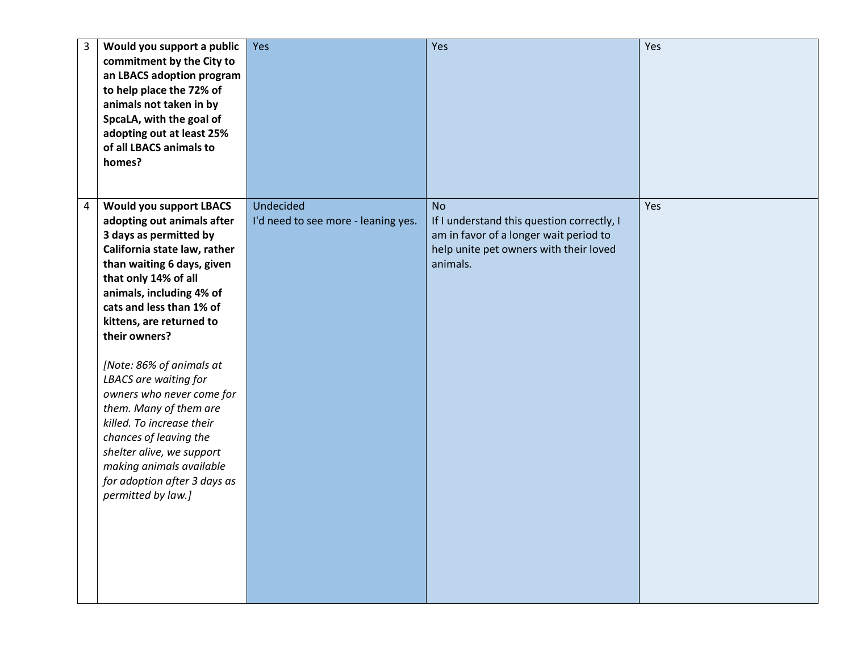| $\overline{3}$ | Would you support a public<br>commitment by the City to<br>an LBACS adoption program<br>to help place the 72% of<br>animals not taken in by<br>SpcaLA, with the goal of<br>adopting out at least 25%<br>of all LBACS animals to<br>homes?                                                                                                                                                                                                                                                                                                                           | Yes                                              | Yes                                                                                                                                                     | Yes |
|----------------|---------------------------------------------------------------------------------------------------------------------------------------------------------------------------------------------------------------------------------------------------------------------------------------------------------------------------------------------------------------------------------------------------------------------------------------------------------------------------------------------------------------------------------------------------------------------|--------------------------------------------------|---------------------------------------------------------------------------------------------------------------------------------------------------------|-----|
| $\overline{4}$ | <b>Would you support LBACS</b><br>adopting out animals after<br>3 days as permitted by<br>California state law, rather<br>than waiting 6 days, given<br>that only 14% of all<br>animals, including 4% of<br>cats and less than 1% of<br>kittens, are returned to<br>their owners?<br>[Note: 86% of animals at<br>LBACS are waiting for<br>owners who never come for<br>them. Many of them are<br>killed. To increase their<br>chances of leaving the<br>shelter alive, we support<br>making animals available<br>for adoption after 3 days as<br>permitted by law.] | Undecided<br>I'd need to see more - leaning yes. | <b>No</b><br>If I understand this question correctly, I<br>am in favor of a longer wait period to<br>help unite pet owners with their loved<br>animals. | Yes |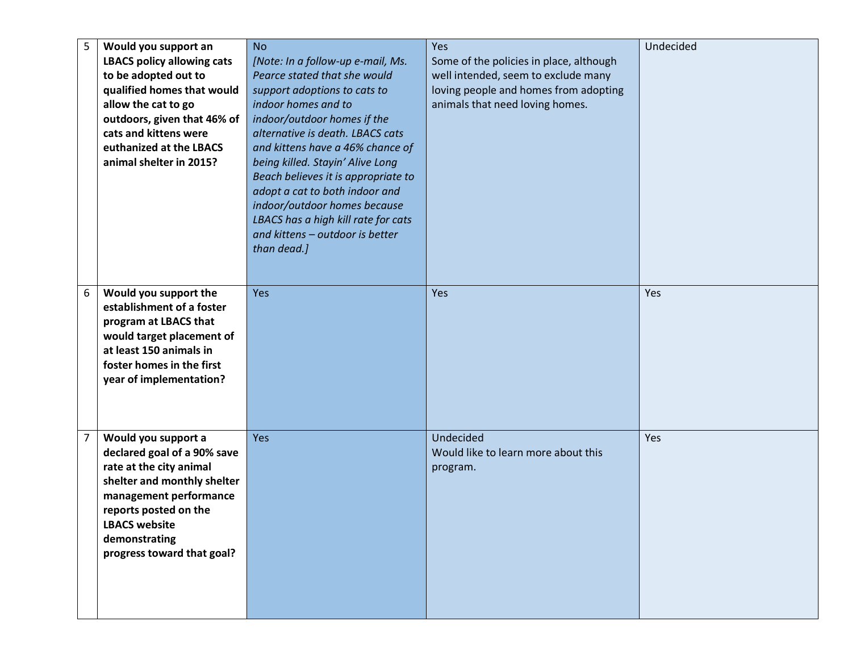| 5              | Would you support an              | <b>No</b>                           | Yes                                     | Undecided |
|----------------|-----------------------------------|-------------------------------------|-----------------------------------------|-----------|
|                | <b>LBACS policy allowing cats</b> | [Note: In a follow-up e-mail, Ms.   | Some of the policies in place, although |           |
|                | to be adopted out to              | Pearce stated that she would        | well intended, seem to exclude many     |           |
|                | qualified homes that would        | support adoptions to cats to        | loving people and homes from adopting   |           |
|                | allow the cat to go               | indoor homes and to                 | animals that need loving homes.         |           |
|                | outdoors, given that 46% of       | indoor/outdoor homes if the         |                                         |           |
|                | cats and kittens were             | alternative is death. LBACS cats    |                                         |           |
|                | euthanized at the LBACS           | and kittens have a 46% chance of    |                                         |           |
|                | animal shelter in 2015?           | being killed. Stayin' Alive Long    |                                         |           |
|                |                                   | Beach believes it is appropriate to |                                         |           |
|                |                                   | adopt a cat to both indoor and      |                                         |           |
|                |                                   | indoor/outdoor homes because        |                                         |           |
|                |                                   | LBACS has a high kill rate for cats |                                         |           |
|                |                                   | and kittens - outdoor is better     |                                         |           |
|                |                                   | than dead.]                         |                                         |           |
|                |                                   |                                     |                                         |           |
|                |                                   |                                     |                                         |           |
| 6              | Would you support the             | Yes                                 | Yes                                     | Yes       |
|                | establishment of a foster         |                                     |                                         |           |
|                | program at LBACS that             |                                     |                                         |           |
|                | would target placement of         |                                     |                                         |           |
|                | at least 150 animals in           |                                     |                                         |           |
|                | foster homes in the first         |                                     |                                         |           |
|                | year of implementation?           |                                     |                                         |           |
|                |                                   |                                     |                                         |           |
|                |                                   |                                     |                                         |           |
|                |                                   |                                     |                                         |           |
| $\overline{7}$ | Would you support a               | <b>Yes</b>                          | Undecided                               | Yes       |
|                | declared goal of a 90% save       |                                     | Would like to learn more about this     |           |
|                | rate at the city animal           |                                     | program.                                |           |
|                | shelter and monthly shelter       |                                     |                                         |           |
|                | management performance            |                                     |                                         |           |
|                | reports posted on the             |                                     |                                         |           |
|                | <b>LBACS website</b>              |                                     |                                         |           |
|                | demonstrating                     |                                     |                                         |           |
|                | progress toward that goal?        |                                     |                                         |           |
|                |                                   |                                     |                                         |           |
|                |                                   |                                     |                                         |           |
|                |                                   |                                     |                                         |           |
|                |                                   |                                     |                                         |           |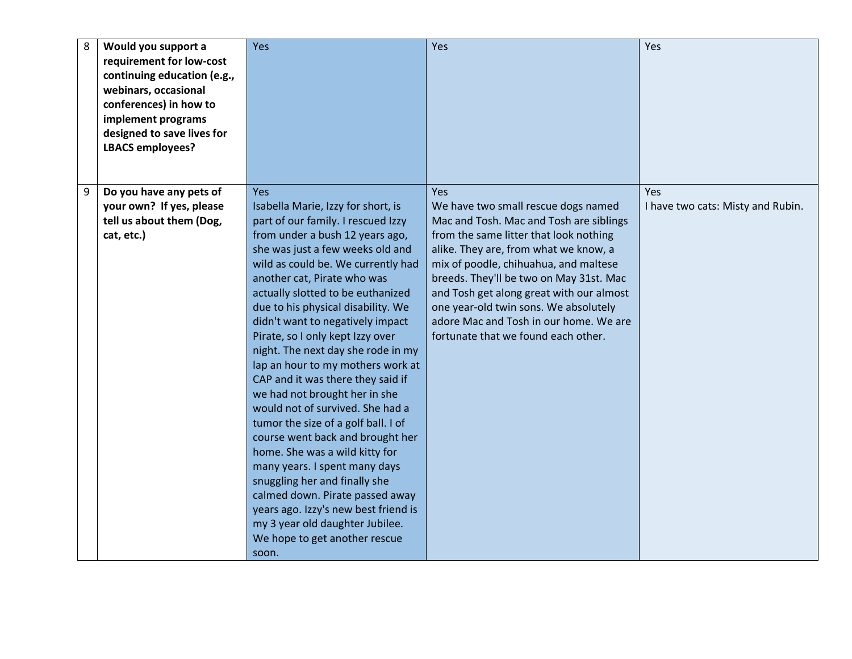| 8 | Would you support a<br>requirement for low-cost<br>continuing education (e.g.,<br>webinars, occasional<br>conferences) in how to<br>implement programs<br>designed to save lives for<br><b>LBACS employees?</b> | Yes                                                                                                                                                                                                                                                                                                                                                                                                                                                                                                                                                                                                                                                                                                                                                                                                                                                                                                        | Yes                                                                                                                                                                                                                                                                                                                                                                                                                                | Yes                                             |
|---|-----------------------------------------------------------------------------------------------------------------------------------------------------------------------------------------------------------------|------------------------------------------------------------------------------------------------------------------------------------------------------------------------------------------------------------------------------------------------------------------------------------------------------------------------------------------------------------------------------------------------------------------------------------------------------------------------------------------------------------------------------------------------------------------------------------------------------------------------------------------------------------------------------------------------------------------------------------------------------------------------------------------------------------------------------------------------------------------------------------------------------------|------------------------------------------------------------------------------------------------------------------------------------------------------------------------------------------------------------------------------------------------------------------------------------------------------------------------------------------------------------------------------------------------------------------------------------|-------------------------------------------------|
| 9 | Do you have any pets of<br>your own? If yes, please<br>tell us about them (Dog,<br>cat, etc.)                                                                                                                   | Yes<br>Isabella Marie, Izzy for short, is<br>part of our family. I rescued Izzy<br>from under a bush 12 years ago,<br>she was just a few weeks old and<br>wild as could be. We currently had<br>another cat, Pirate who was<br>actually slotted to be euthanized<br>due to his physical disability. We<br>didn't want to negatively impact<br>Pirate, so I only kept Izzy over<br>night. The next day she rode in my<br>lap an hour to my mothers work at<br>CAP and it was there they said if<br>we had not brought her in she<br>would not of survived. She had a<br>tumor the size of a golf ball. I of<br>course went back and brought her<br>home. She was a wild kitty for<br>many years. I spent many days<br>snuggling her and finally she<br>calmed down. Pirate passed away<br>years ago. Izzy's new best friend is<br>my 3 year old daughter Jubilee.<br>We hope to get another rescue<br>soon. | Yes<br>We have two small rescue dogs named<br>Mac and Tosh. Mac and Tosh are siblings<br>from the same litter that look nothing<br>alike. They are, from what we know, a<br>mix of poodle, chihuahua, and maltese<br>breeds. They'll be two on May 31st. Mac<br>and Tosh get along great with our almost<br>one year-old twin sons. We absolutely<br>adore Mac and Tosh in our home. We are<br>fortunate that we found each other. | <b>Yes</b><br>I have two cats: Misty and Rubin. |